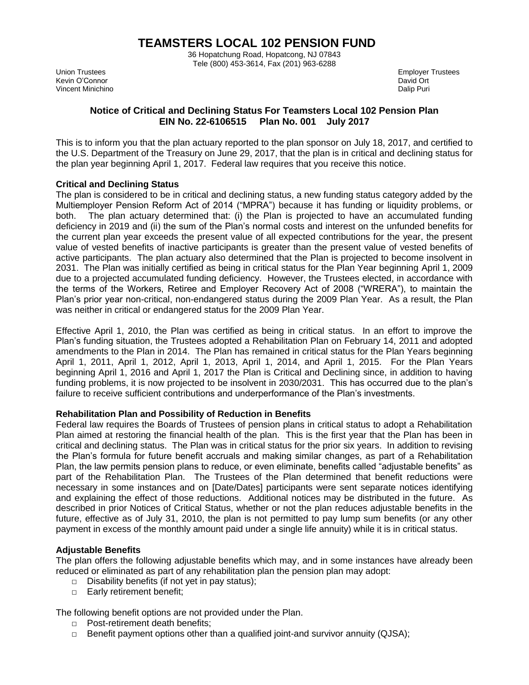# **TEAMSTERS LOCAL 102 PENSION FUND**

36 Hopatchung Road, Hopatcong, NJ 07843 Tele (800) 453-3614, Fax (201) 963-6288

Kevin O'Connor Vincent Minichino Dalip Puri

Union Trustees Employer Trustees and the Union Trustees of the Union Trustees Employer Trustees Employer Trustees<br>The Employer Trustees and the Union of the Union Section 2012 and the Union Of the Union Of the Union Of the

# **Notice of Critical and Declining Status For Teamsters Local 102 Pension Plan EIN No. 22-6106515 Plan No. 001 July 2017**

This is to inform you that the plan actuary reported to the plan sponsor on July 18, 2017, and certified to the U.S. Department of the Treasury on June 29, 2017, that the plan is in critical and declining status for the plan year beginning April 1, 2017. Federal law requires that you receive this notice.

## **Critical and Declining Status**

The plan is considered to be in critical and declining status, a new funding status category added by the Multiemployer Pension Reform Act of 2014 ("MPRA") because it has funding or liquidity problems, or both. The plan actuary determined that: (i) the Plan is projected to have an accumulated funding deficiency in 2019 and (ii) the sum of the Plan's normal costs and interest on the unfunded benefits for the current plan year exceeds the present value of all expected contributions for the year, the present value of vested benefits of inactive participants is greater than the present value of vested benefits of active participants. The plan actuary also determined that the Plan is projected to become insolvent in 2031. The Plan was initially certified as being in critical status for the Plan Year beginning April 1, 2009 due to a projected accumulated funding deficiency. However, the Trustees elected, in accordance with the terms of the Workers, Retiree and Employer Recovery Act of 2008 ("WRERA"), to maintain the Plan's prior year non-critical, non-endangered status during the 2009 Plan Year. As a result, the Plan was neither in critical or endangered status for the 2009 Plan Year.

Effective April 1, 2010, the Plan was certified as being in critical status. In an effort to improve the Plan's funding situation, the Trustees adopted a Rehabilitation Plan on February 14, 2011 and adopted amendments to the Plan in 2014. The Plan has remained in critical status for the Plan Years beginning April 1, 2011, April 1, 2012, April 1, 2013, April 1, 2014, and April 1, 2015. For the Plan Years beginning April 1, 2016 and April 1, 2017 the Plan is Critical and Declining since, in addition to having funding problems, it is now projected to be insolvent in 2030/2031. This has occurred due to the plan's failure to receive sufficient contributions and underperformance of the Plan's investments.

### **Rehabilitation Plan and Possibility of Reduction in Benefits**

Federal law requires the Boards of Trustees of pension plans in critical status to adopt a Rehabilitation Plan aimed at restoring the financial health of the plan. This is the first year that the Plan has been in critical and declining status. The Plan was in critical status for the prior six years. In addition to revising the Plan's formula for future benefit accruals and making similar changes, as part of a Rehabilitation Plan, the law permits pension plans to reduce, or even eliminate, benefits called "adjustable benefits" as part of the Rehabilitation Plan. The Trustees of the Plan determined that benefit reductions were necessary in some instances and on [Date/Dates] participants were sent separate notices identifying and explaining the effect of those reductions. Additional notices may be distributed in the future. As described in prior Notices of Critical Status, whether or not the plan reduces adjustable benefits in the future, effective as of July 31, 2010, the plan is not permitted to pay lump sum benefits (or any other payment in excess of the monthly amount paid under a single life annuity) while it is in critical status.

# **Adjustable Benefits**

The plan offers the following adjustable benefits which may, and in some instances have already been reduced or eliminated as part of any rehabilitation plan the pension plan may adopt:

- $\Box$  Disability benefits (if not yet in pay status);
- □ Early retirement benefit;

The following benefit options are not provided under the Plan.

- □ Post-retirement death benefits;
- $\Box$  Benefit payment options other than a qualified joint-and survivor annuity (QJSA);